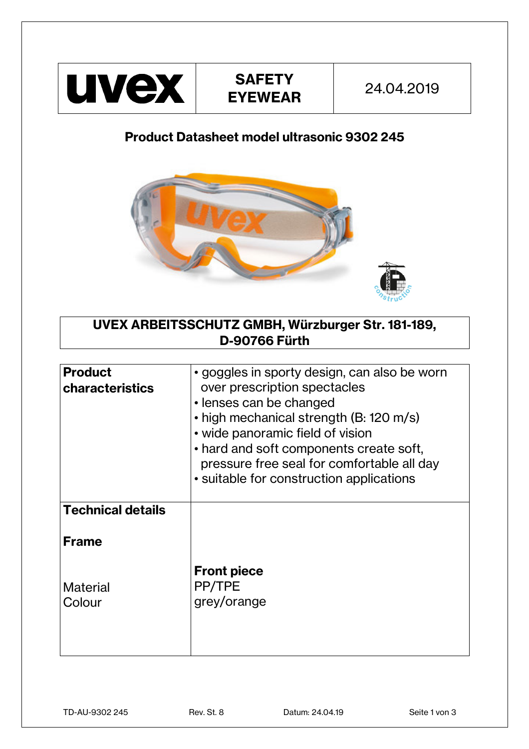

## **Product Datasheet model ultrasonic 9302 245**



**UVEX ARBEITSSCHUTZ GMBH, Würzburger Str. 181-189, D-90766 Fürth**

| <b>Product</b><br><b>characteristics</b> | • goggles in sporty design, can also be worn<br>over prescription spectacles<br>• lenses can be changed<br>• high mechanical strength (B: 120 m/s)<br>• wide panoramic field of vision<br>• hard and soft components create soft,<br>pressure free seal for comfortable all day<br>• suitable for construction applications |
|------------------------------------------|-----------------------------------------------------------------------------------------------------------------------------------------------------------------------------------------------------------------------------------------------------------------------------------------------------------------------------|
| <b>Technical details</b>                 |                                                                                                                                                                                                                                                                                                                             |
| <b>Frame</b>                             |                                                                                                                                                                                                                                                                                                                             |
| Material<br>Colour                       | <b>Front piece</b><br>PP/TPE<br>grey/orange                                                                                                                                                                                                                                                                                 |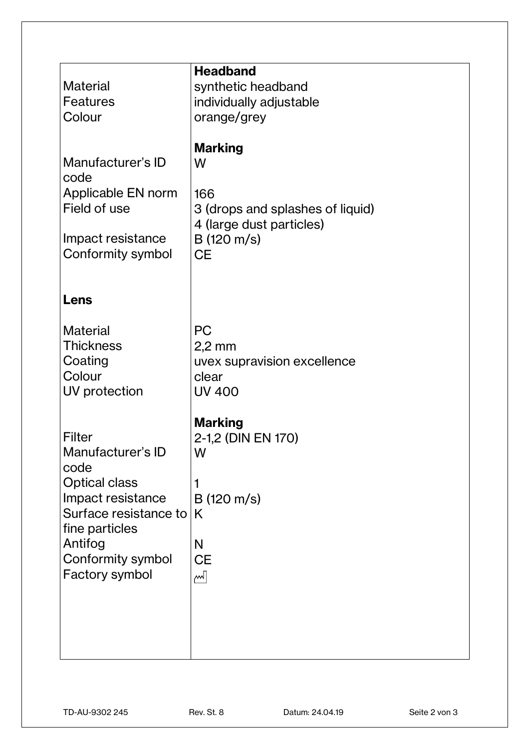| <b>Material</b>                                                                                                                                                               | <b>Headband</b><br>synthetic headband                                                                                           |
|-------------------------------------------------------------------------------------------------------------------------------------------------------------------------------|---------------------------------------------------------------------------------------------------------------------------------|
| <b>Features</b>                                                                                                                                                               | individually adjustable                                                                                                         |
| Colour                                                                                                                                                                        | orange/grey                                                                                                                     |
| Manufacturer's ID<br>code<br>Applicable EN norm<br>Field of use<br>Impact resistance<br>Conformity symbol                                                                     | <b>Marking</b><br>W<br>166<br>3 (drops and splashes of liquid)<br>4 (large dust particles)<br>$B(120 \text{ m/s})$<br><b>CE</b> |
| Lens                                                                                                                                                                          |                                                                                                                                 |
| <b>Material</b><br><b>Thickness</b><br>Coating<br>Colour<br>UV protection                                                                                                     | PC<br>$2,2$ mm<br>uvex supravision excellence<br>clear<br><b>UV 400</b>                                                         |
| Filter<br>Manufacturer's ID<br>code<br><b>Optical class</b><br>Impact resistance<br>Surface resistance to<br>fine particles<br>Antifog<br>Conformity symbol<br>Factory symbol | <b>Marking</b><br>2-1,2 (DIN EN 170)<br>W<br>$B(120 \text{ m/s})$<br>K<br>N<br><b>CE</b><br>اسم                                 |
|                                                                                                                                                                               |                                                                                                                                 |